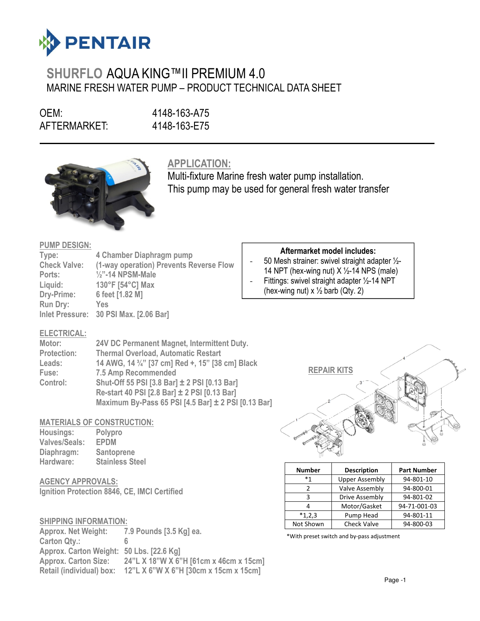

# SHURFLO AQUA KING™II PREMIUM 4.0 MARINE FRESH WATER PUMP – PRODUCT TECHNICAL DATA SHEET

OEM: 4148-163-A75<br>AFTERMARKET: 4148-163-E75 AFTERMARKET:

 $\overline{a}$ 



APPLICATION:

Multi-fixture Marine fresh water pump installation. This pump may be used for general fresh water transfer

### PUMP DESIGN:

| Type:               | 4 Chamber Diaphragm pump                |
|---------------------|-----------------------------------------|
| <b>Check Valve:</b> | (1-way operation) Prevents Reverse Flow |
| Ports:              | $\frac{1}{2}$ "-14 NPSM-Male            |
| Liquid:             | 130°F [54°C] Max                        |
| Dry-Prime:          | 6 feet [1.82 M]                         |
| <b>Run Dry:</b>     | Yes                                     |
|                     | Inlet Pressure: 30 PSI Max. [2.06 Bar]  |

# ELECTRICAL:

| Motor:             | 24V DC Permanent Magnet, Intermittent Duty.         |
|--------------------|-----------------------------------------------------|
| <b>Protection:</b> | <b>Thermal Overload, Automatic Restart</b>          |
| Leads:             | 14 AWG, 14 3/4" [37 cm] Red +, 15" [38 cm] Black    |
| Fuse:              | <b>7.5 Amp Recommended</b>                          |
| Control:           | Shut-Off 55 PSI [3.8 Bar] ± 2 PSI [0.13 Bar]        |
|                    | Re-start 40 PSI [2.8 Bar] ± 2 PSI [0.13 Bar]        |
|                    | Maximum By-Pass 65 PSI [4.5 Bar] ± 2 PSI [0.13 Bar] |

# MATERIALS OF CONSTRUCTION:

| Housings:            | Polypro                |
|----------------------|------------------------|
| <b>Valves/Seals:</b> | <b>EPDM</b>            |
| Diaphragm:           | <b>Santoprene</b>      |
| Hardware:            | <b>Stainless Steel</b> |

AGENCY APPROVALS: Ignition Protection 8846, CE, IMCI Certified

# SHIPPING INFORMATION:

Approx. Net Weight: 7.9 Pounds [3.5 Kg] ea. Carton Qtv.: Approx. Carton Weight: 50 Lbs. [22.6 Kg] Approx. Carton Size: 24"L X 18"W X 6"H [61cm x 46cm x 15cm] Retail (individual) box: 12"L X 6"W X 6"H [30cm x 15cm x 15cm]

# Aftermarket model includes:

- 50 Mesh strainer: swivel straight adapter ½- 14 NPT (hex-wing nut)  $X \frac{1}{2}$ -14 NPS (male) Fittings: swivel straight adapter 1/2-14 NPT
- (hex-wing nut)  $x \frac{1}{2}$  barb (Qty. 2)



| <b>Number</b> | <b>Description</b>    | <b>Part Number</b> |
|---------------|-----------------------|--------------------|
| *1            | <b>Upper Assembly</b> | 94-801-10          |
| 7             | Valve Assembly        | 94-800-01          |
| ર             | Drive Assembly        | 94-801-02          |
|               | Motor/Gasket          | 94-71-001-03       |
| $*1,2,3$      | Pump Head             | 94-801-11          |
| Not Shown     | <b>Check Valve</b>    | 94-800-03          |

\*With preset switch and by-pass adjustment